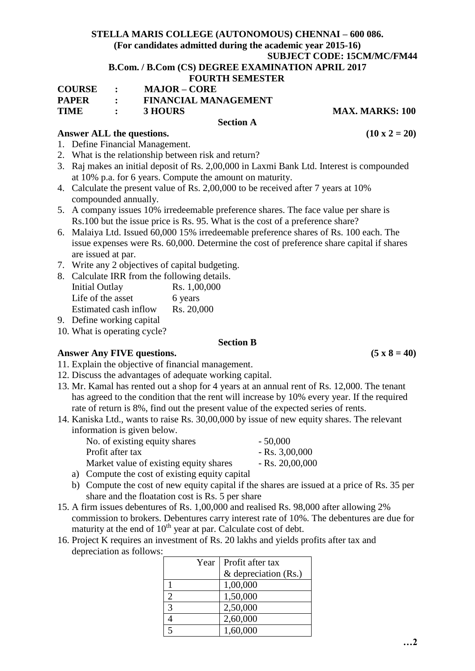## **STELLA MARIS COLLEGE (AUTONOMOUS) CHENNAI – 600 086.**

# **(For candidates admitted during the academic year 2015-16)**

**SUBJECT CODE: 15CM/MC/FM44**

#### **B.Com. / B.Com (CS) DEGREE EXAMINATION APRIL 2017 FOURTH SEMESTER**

|               | T OOK THE BEATER TER        |   |
|---------------|-----------------------------|---|
| <b>COURSE</b> | <b>MAJOR – CORE</b>         |   |
| <b>PAPER</b>  | <b>FINANCIAL MANAGEMENT</b> |   |
| <b>TIME</b>   | <b>3 HOURS</b>              | M |

## Answer ALL the questions.  $(10 \times 2 = 20)$

- 1. Define Financial Management.
- 2. What is the relationship between risk and return?
- 3. Raj makes an initial deposit of Rs. 2,00,000 in Laxmi Bank Ltd. Interest is compounded at 10% p.a. for 6 years. Compute the amount on maturity.

**Section A**

- 4. Calculate the present value of Rs. 2,00,000 to be received after 7 years at 10% compounded annually.
- 5. A company issues 10% irredeemable preference shares. The face value per share is Rs.100 but the issue price is Rs. 95. What is the cost of a preference share?
- 6. Malaiya Ltd. Issued 60,000 15% irredeemable preference shares of Rs. 100 each. The issue expenses were Rs. 60,000. Determine the cost of preference share capital if shares are issued at par.
- 7. Write any 2 objectives of capital budgeting.
- 8. Calculate IRR from the following details.

| <b>Initial Outlay</b> | Rs. 1,00,000 |
|-----------------------|--------------|
| Life of the asset     | 6 years      |
| Estimated cash inflow | Rs. 20,000   |

9. Define working capital

10. What is operating cycle?

#### **Section B**

Answer Any FIVE questions.  $(5 \times 8 = 40)$ 

- 11. Explain the objective of financial management.
- 12. Discuss the advantages of adequate working capital.
- 13. Mr. Kamal has rented out a shop for 4 years at an annual rent of Rs. 12,000. The tenant has agreed to the condition that the rent will increase by 10% every year. If the required rate of return is 8%, find out the present value of the expected series of rents.
- 14. Kaniska Ltd., wants to raise Rs. 30,00,000 by issue of new equity shares. The relevant information is given below.

| No. of existing equity shares                                                                                    | $-50,000$        |
|------------------------------------------------------------------------------------------------------------------|------------------|
| Profit after tax                                                                                                 | $-Rs. 3,00,000$  |
| Market value of existing equity shares                                                                           | $-Rs. 20,00,000$ |
| . The state of the state of the state $\sim$ 1 and 1 and 1 and 1 and 1 and 1 and 1 and 1 and 1 and 1 and 1 and 1 |                  |

- a) Compute the cost of existing equity capital
- b) Compute the cost of new equity capital if the shares are issued at a price of Rs. 35 per share and the floatation cost is Rs. 5 per share
- 15. A firm issues debentures of Rs. 1,00,000 and realised Rs. 98,000 after allowing 2% commission to brokers. Debentures carry interest rate of 10%. The debentures are due for maturity at the end of  $10<sup>th</sup>$  year at par. Calculate cost of debt.
- 16. Project K requires an investment of Rs. 20 lakhs and yields profits after tax and depreciation as follows:

|                             | Year   Profit after tax |
|-----------------------------|-------------------------|
|                             | & depreciation (Rs.)    |
|                             | 1,00,000                |
| $\mathcal{D}_{\mathcal{L}}$ | 1,50,000                |
| $\mathcal{R}$               | 2,50,000                |
|                             | 2,60,000                |
|                             | 1,60,000                |

**TIME : 3 HOURS MAX. MARKS: 100**